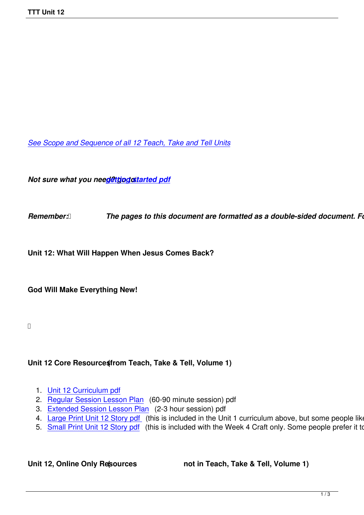*See Scope and Sequence of all 12 Teach, Take and Tell Units*

*Not sure what you need@ttjpgostarted pdf* 

**Remember: <b>***[The pages to this d](images/TTT/8 4 11 TTT/New TTT Website Documents/TTT Book portions/2nd GEtting Started.pdf)ocument are formatted as a double-sided document. Follow Formate printers in Formate as a double-sided document. Follow Formate.* 

**Unit 12: What Will Happen When Jesus Comes Back?**

**God Will Make Everything New!**

## Unit 12 Core Resource (from Teach, Take & Tell, Volume 1)

- 1. Unit 12 Curriculum pdf
- 2. Regular Session Lesson Plan (60-90 minute session) pdf
- 3. Extended Session Lesson Plan (2-3 hour session) pdf
- 4. [Large Print Unit 12 Sto](images/TTT/8 4 11 TTT/Unit 12/unit 12 8 2011/4th 12 TTT Curriculum portion.pdf)ry pdf (this is included in the Unit 1 curriculum above, but some people like to
- 5. [Small Print Unit 12 Story pdf](images/TTT/8 4 11 TTT/Unit 12/unit 12 8 2011/3rd LP 12R.pdf) (this is included with the Week 4 Craft only. Some people prefer it to the

Unit 12, Online Only Resources **(1)** not in Teach, Take & Tell, Volume 1)